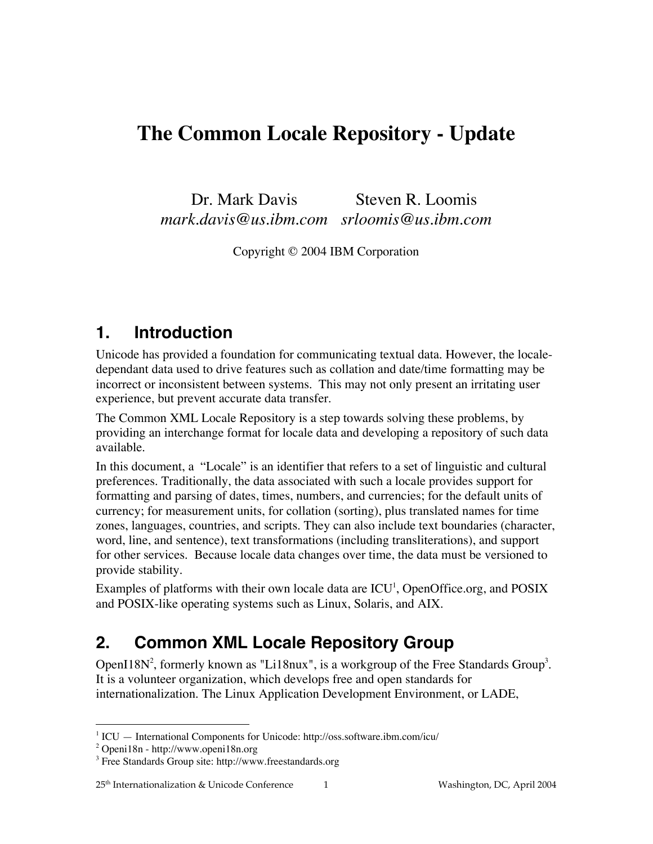Dr. Mark Davis *mark.davis@us.ibm.com srloomis@us.ibm.com* Steven R. Loomis

Copyright © 2004 IBM Corporation

## **1. Introduction**

Unicode has provided a foundation for communicating textual data. However, the localedependant data used to drive features such as collation and date/time formatting may be incorrect or inconsistent between systems. This may not only present an irritating user experience, but prevent accurate data transfer.

The Common XML Locale Repository is a step towards solving these problems, by providing an interchange format for locale data and developing a repository of such data available.

In this document, a "Locale" is an identifier that refers to a set of linguistic and cultural preferences. Traditionally, the data associated with such a locale provides support for formatting and parsing of dates, times, numbers, and currencies; for the default units of currency; for measurement units, for collation (sorting), plus translated names for time zones, languages, countries, and scripts. They can also include text boundaries (character, word, line, and sentence), text transformations (including transliterations), and support for other services. Because locale data changes over time, the data must be versioned to provide stability.

Examples of platforms with their own locale data are  $ICU<sup>1</sup>$ , OpenOffice.org, and POSIX and POSIX-like operating systems such as Linux, Solaris, and AIX.

# **2. Common XML Locale Repository Group**

OpenI18N<sup>2</sup>, formerly known as "Li18nux", is a workgroup of the Free Standards Group<sup>3</sup>. It is a volunteer organization, which develops free and open standards for internationalization. The Linux Application Development Environment, or LADE,

<sup>|&</sup>lt;br>|<br>|  $\rm ^1$  ICU  $-$  International Components for Unicode: http://oss.software.ibm.com/icu/

<sup>&</sup>lt;sup>2</sup> Openi18n - http://www.openi18n.org

<sup>&</sup>lt;sup>3</sup> Free Standards Group site: http://www.freestandards.org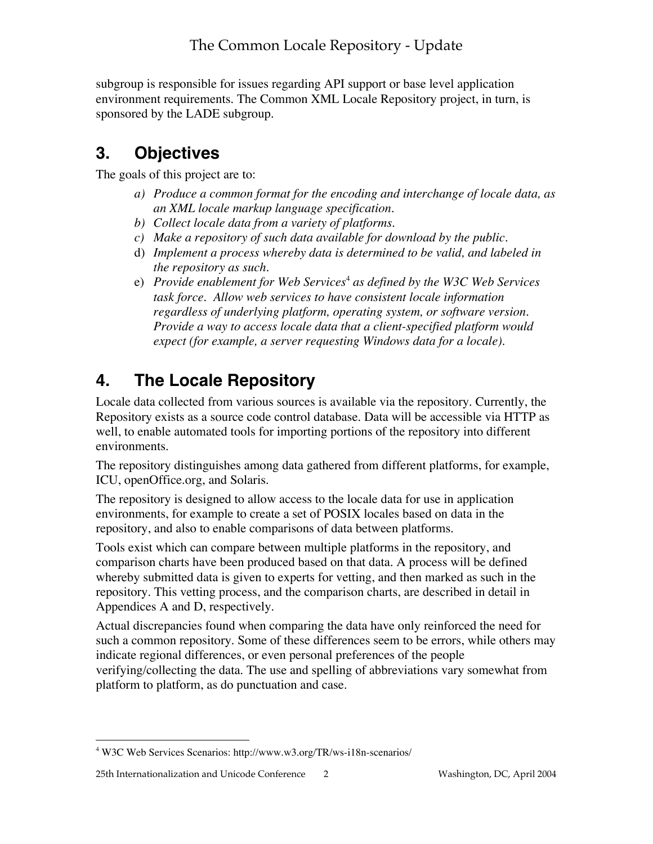subgroup is responsible for issues regarding API support or base level application environment requirements. The Common XML Locale Repository project, in turn, is sponsored by the LADE subgroup.

# **3. Objectives**

The goals of this project are to:

- *a) Produce a common format for the encoding and interchange of locale data, as an XML locale markup language specification.*
- *b) Collect locale data from a variety of platforms.*
- *c) Make a repository of such data available for download by the public.*
- d) *Implement a process whereby data is determined to be valid, and labeled in the repository as such.*
- e) *Provide enablement for Web Services*<sup>4</sup>  *as defined by the W3C Web Services task force. Allow web services to have consistent locale information regardless of underlying platform, operating system, or software version. Provide a way to access locale data that a client-specified platform would expect (for example, a server requesting Windows data for a locale).*

# **4. The Locale Repository**

Locale data collected from various sources is available via the repository. Currently, the Repository exists as a source code control database. Data will be accessible via HTTP as well, to enable automated tools for importing portions of the repository into different environments.

The repository distinguishes among data gathered from different platforms, for example, ICU, openOffice.org, and Solaris.

The repository is designed to allow access to the locale data for use in application environments, for example to create a set of POSIX locales based on data in the repository, and also to enable comparisons of data between platforms.

Tools exist which can compare between multiple platforms in the repository, and comparison charts have been produced based on that data. A process will be defined whereby submitted data is given to experts for vetting, and then marked as such in the repository. This vetting process, and the comparison charts, are described in detail in Appendices A and D, respectively.

Actual discrepancies found when comparing the data have only reinforced the need for such a common repository. Some of these differences seem to be errors, while others may indicate regional differences, or even personal preferences of the people verifying/collecting the data. The use and spelling of abbreviations vary somewhat from platform to platform, as do punctuation and case.

 $\frac{1}{4}$ W3C Web Services Scenarios: http://www.w3.org/TR/ws-i18n-scenarios/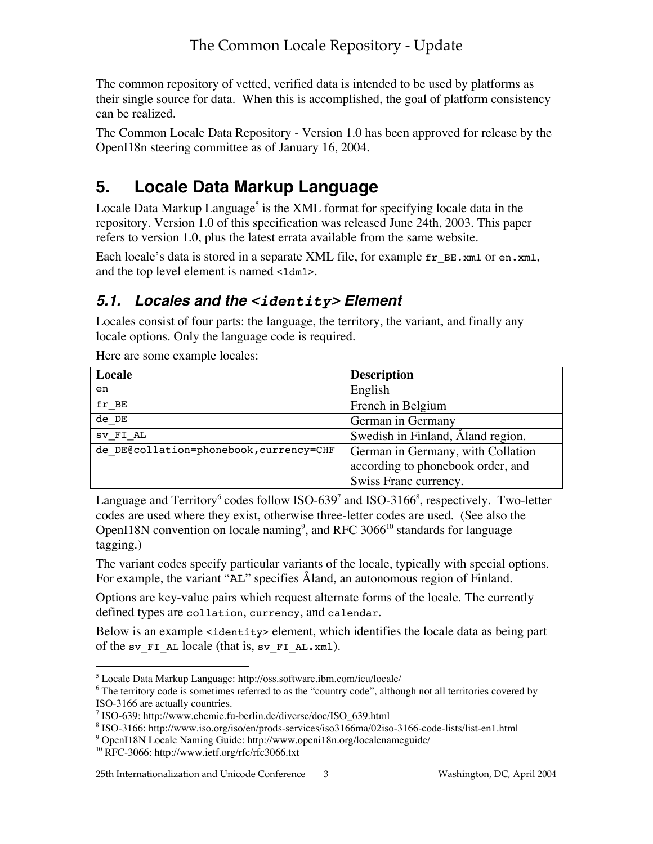The common repository of vetted, verified data is intended to be used by platforms as their single source for data. When this is accomplished, the goal of platform consistency can be realized.

The Common Locale Data Repository - Version 1.0 has been approved for release by the OpenI18n steering committee as of January 16, 2004.

## **5. Locale Data Markup Language**

Locale Data Markup Language<sup>5</sup> is the XML format for specifying locale data in the repository. Version 1.0 of this specification was released June 24th, 2003. This paper refers to version 1.0, plus the latest errata available from the same website.

Each locale's data is stored in a separate XML file, for example fr\_BE.xml or en.xml, and the top level element is named <ldml>.

## **5.1. Locales and the <identity> Element**

Locales consist of four parts: the language, the territory, the variant, and finally any locale options. Only the language code is required.

| Locale                                  | <b>Description</b>                                                     |
|-----------------------------------------|------------------------------------------------------------------------|
| en                                      | English                                                                |
| fr BE                                   | French in Belgium                                                      |
| de DE                                   | German in Germany                                                      |
| SV FI AL                                | Swedish in Finland, Åland region.                                      |
| de DE@collation=phonebook, currency=CHF | German in Germany, with Collation<br>according to phonebook order, and |
|                                         | Swiss Franc currency.                                                  |

Here are some example locales:

Language and Territory<sup>6</sup> codes follow ISO-639<sup>7</sup> and ISO-3166<sup>8</sup>, respectively. Two-letter codes are used where they exist, otherwise three-letter codes are used. (See also the OpenI18N convention on locale naming<sup>9</sup>, and RFC 3066<sup>10</sup> standards for language tagging.)

The variant codes specify particular variants of the locale, typically with special options. For example, the variant "AL" specifies Åland, an autonomous region of Finland.

Options are key-value pairs which request alternate forms of the locale. The currently defined types are collation, currency, and calendar.

Below is an example <identity> element, which identifies the locale data as being part of the sv\_FI\_AL locale (that is, sv\_FI\_AL.xml).

9 OpenI18N Locale Naming Guide: http://www.openi18n.org/localenameguide/

 <sup>5</sup> Locale Data Markup Language: http://oss.software.ibm.com/icu/locale/

<sup>&</sup>lt;sup>6</sup> The territory code is sometimes referred to as the "country code", although not all territories covered by ISO-3166 are actually countries.

<sup>7</sup> ISO-639: http://www.chemie.fu-berlin.de/diverse/doc/ISO\_639.html

<sup>8</sup> ISO-3166: http://www.iso.org/iso/en/prods-services/iso3166ma/02iso-3166-code-lists/list-en1.html

<sup>&</sup>lt;sup>10</sup> RFC-3066: http://www.ietf.org/rfc/rfc3066.txt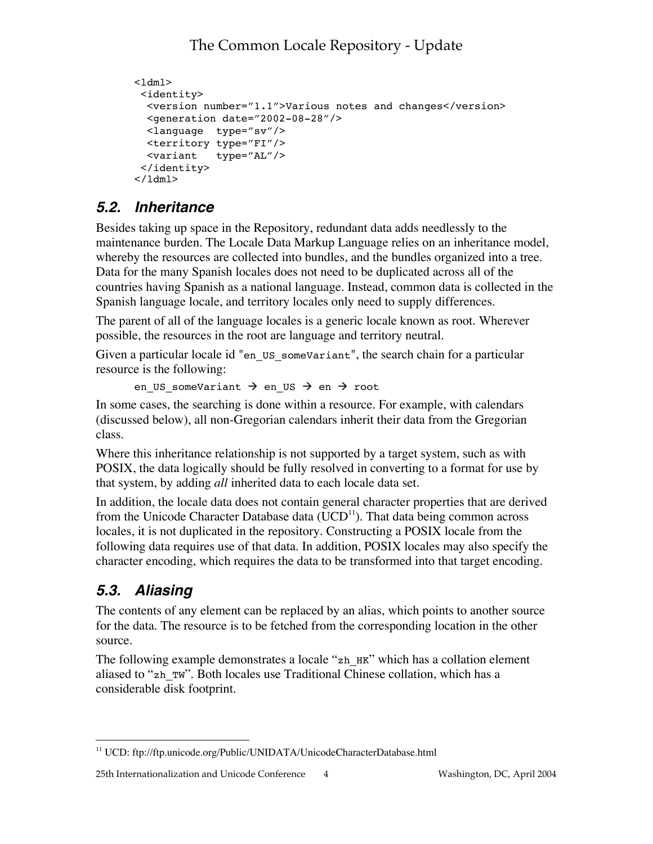```
<ldml>
 <identity>
  <version number="1.1">Various notes and changes</version>
  <generation date="2002-08-28"/>
  <language type="sv"/>
  <territory type="FI"/>
  <variant type="AL"/>
 </identity>
</ldml>
```
## **5.2. Inheritance**

Besides taking up space in the Repository, redundant data adds needlessly to the maintenance burden. The Locale Data Markup Language relies on an inheritance model, whereby the resources are collected into bundles, and the bundles organized into a tree. Data for the many Spanish locales does not need to be duplicated across all of the countries having Spanish as a national language. Instead, common data is collected in the Spanish language locale, and territory locales only need to supply differences.

The parent of all of the language locales is a generic locale known as root. Wherever possible, the resources in the root are language and territory neutral.

Given a particular locale id "en\_US\_someVariant", the search chain for a particular resource is the following:

```
en US someVariant \rightarrow en US \rightarrow en \rightarrow root
```
In some cases, the searching is done within a resource. For example, with calendars (discussed below), all non-Gregorian calendars inherit their data from the Gregorian class.

Where this inheritance relationship is not supported by a target system, such as with POSIX, the data logically should be fully resolved in converting to a format for use by that system, by adding *all* inherited data to each locale data set.

In addition, the locale data does not contain general character properties that are derived from the Unicode Character Database data ( $UCD<sup>11</sup>$ ). That data being common across locales, it is not duplicated in the repository. Constructing a POSIX locale from the following data requires use of that data. In addition, POSIX locales may also specify the character encoding, which requires the data to be transformed into that target encoding.

## **5.3. Aliasing**

The contents of any element can be replaced by an alias, which points to another source for the data. The resource is to be fetched from the corresponding location in the other source.

The following example demonstrates a locale "zh\_HK" which has a collation element aliased to "zh\_TW". Both locales use Traditional Chinese collation, which has a considerable disk footprint.

 <sup>11</sup> UCD: ftp://ftp.unicode.org/Public/UNIDATA/UnicodeCharacterDatabase.html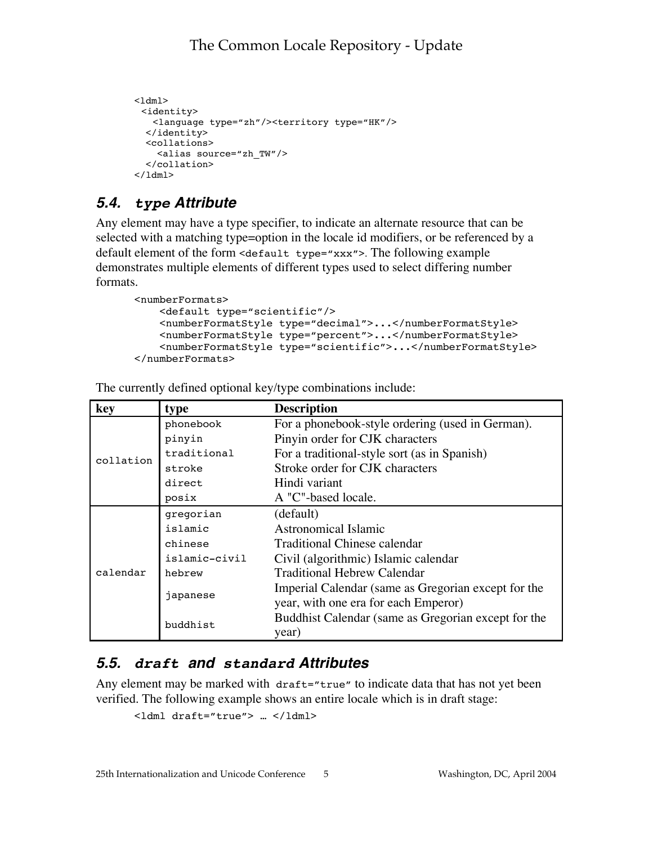```
<1dm1> <identity>
   <language type="zh"/><territory type="HK"/>
  </identity>
  <collations>
     <alias source="zh_TW"/>
   </collation>
</1dm1>
```
## **5.4. type Attribute**

Any element may have a type specifier, to indicate an alternate resource that can be selected with a matching type=option in the locale id modifiers, or be referenced by a default element of the form <default type="xxx">. The following example demonstrates multiple elements of different types used to select differing number formats.

```
<numberFormats>
    <default type="scientific"/>
    <numberFormatStyle type="decimal">...</numberFormatStyle>
    <numberFormatStyle type="percent">...</numberFormatStyle>
    <numberFormatStyle type="scientific">...</numberFormatStyle>
</numberFormats>
```

| key       | type          | <b>Description</b>                                  |
|-----------|---------------|-----------------------------------------------------|
|           | phonebook     | For a phonebook-style ordering (used in German).    |
|           | pinyin        | Pinyin order for CJK characters                     |
| collation | traditional   | For a traditional-style sort (as in Spanish)        |
|           | stroke        | Stroke order for CJK characters                     |
|           | direct        | Hindi variant                                       |
|           | posix         | A "C"-based locale.                                 |
|           | gregorian     | (default)                                           |
|           | islamic       | Astronomical Islamic                                |
|           | chinese       | Traditional Chinese calendar                        |
|           | islamic-civil | Civil (algorithmic) Islamic calendar                |
| calendar  | hebrew        | <b>Traditional Hebrew Calendar</b>                  |
|           | japanese      | Imperial Calendar (same as Gregorian except for the |
|           |               | year, with one era for each Emperor)                |
|           | buddhist      | Buddhist Calendar (same as Gregorian except for the |
|           |               | year)                                               |

The currently defined optional key/type combinations include:

## **5.5. draft and standard Attributes**

Any element may be marked with draft="true" to indicate data that has not yet been verified. The following example shows an entire locale which is in draft stage:

```
<ldml draft="true"> … </ldml>
```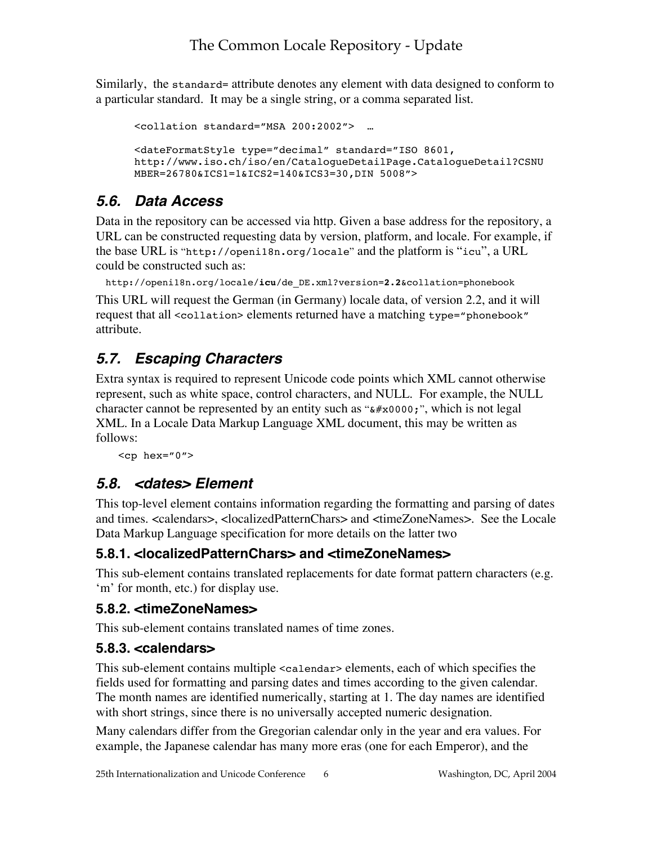Similarly, the standard= attribute denotes any element with data designed to conform to a particular standard. It may be a single string, or a comma separated list.

```
<collation standard="MSA 200:2002"> …
<dateFormatStyle type="decimal" standard="ISO 8601,
http://www.iso.ch/iso/en/CatalogueDetailPage.CatalogueDetail?CSNU
MBER=26780&ICS1=1&ICS2=140&ICS3=30,DIN 5008">
```
## **5.6. Data Access**

Data in the repository can be accessed via http. Given a base address for the repository, a URL can be constructed requesting data by version, platform, and locale. For example, if the base URL is "http://openi18n.org/locale" and the platform is "icu", a URL could be constructed such as:

```
http://openi18n.org/locale/icu/de_DE.xml?version=2.2&collation=phonebook
```
This URL will request the German (in Germany) locale data, of version 2.2, and it will request that all <collation> elements returned have a matching type="phonebook" attribute.

## **5.7. Escaping Characters**

Extra syntax is required to represent Unicode code points which XML cannot otherwise represent, such as white space, control characters, and NULL. For example, the NULL character cannot be represented by an entity such as " $\&\#x0000;$ ", which is not legal XML. In a Locale Data Markup Language XML document, this may be written as follows:

 $<$ cp hex="0">

## **5.8. <dates> Element**

This top-level element contains information regarding the formatting and parsing of dates and times. <calendars>, <localizedPatternChars> and <timeZoneNames>. See the Locale Data Markup Language specification for more details on the latter two

## **5.8.1. <localizedPatternChars> and <timeZoneNames>**

This sub-element contains translated replacements for date format pattern characters (e.g. 'm' for month, etc.) for display use.

## **5.8.2. <timeZoneNames>**

This sub-element contains translated names of time zones.

## **5.8.3. <calendars>**

This sub-element contains multiple <calendar> elements, each of which specifies the fields used for formatting and parsing dates and times according to the given calendar. The month names are identified numerically, starting at 1. The day names are identified with short strings, since there is no universally accepted numeric designation.

Many calendars differ from the Gregorian calendar only in the year and era values. For example, the Japanese calendar has many more eras (one for each Emperor), and the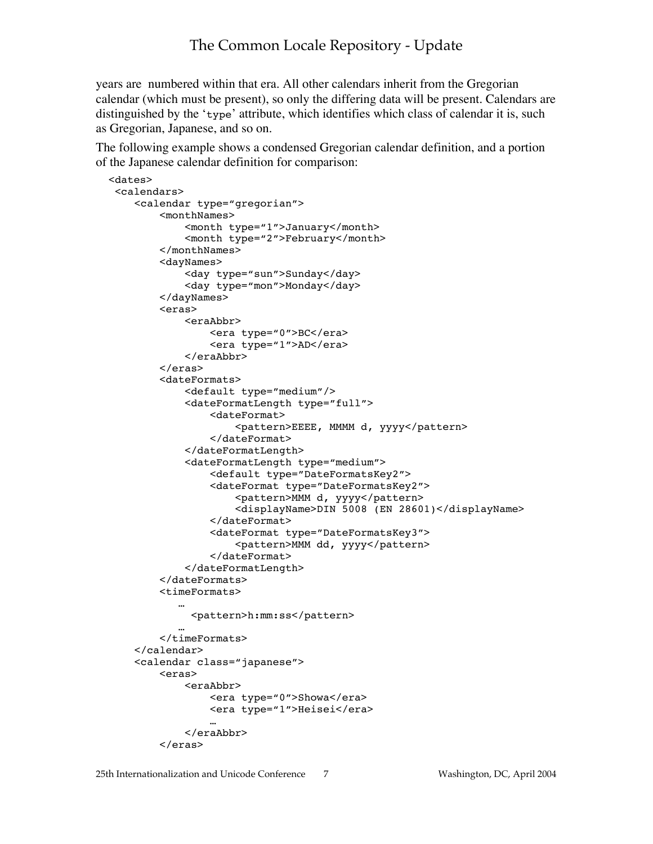years are numbered within that era. All other calendars inherit from the Gregorian calendar (which must be present), so only the differing data will be present. Calendars are distinguished by the 'type' attribute, which identifies which class of calendar it is, such as Gregorian, Japanese, and so on.

The following example shows a condensed Gregorian calendar definition, and a portion of the Japanese calendar definition for comparison:

```
 <dates>
  <calendars>
    <calendar type="gregorian">
         <monthNames>
             <month type="1">January</month>
             <month type="2">February</month>
         </monthNames>
         <dayNames>
             <day type="sun">Sunday</day>
             <day type="mon">Monday</day>
         </dayNames>
         <eras>
             <eraAbbr>
                 <era type="0">BC</era>
                 <era type="1">AD</era>
             </eraAbbr>
         </eras>
         <dateFormats>
             <default type="medium"/>
             <dateFormatLength type="full">
                 <dateFormat>
                     <pattern>EEEE, MMMM d, yyyy</pattern>
                 </dateFormat>
             </dateFormatLength>
             <dateFormatLength type="medium">
                 <default type="DateFormatsKey2">
                 <dateFormat type="DateFormatsKey2">
                      <pattern>MMM d, yyyy</pattern>
                      <displayName>DIN 5008 (EN 28601)</displayName>
                 </dateFormat>
                 <dateFormat type="DateFormatsKey3">
                      <pattern>MMM dd, yyyy</pattern>
                 </dateFormat>
             </dateFormatLength>
         </dateFormats>
         <timeFormats>
     …
              <pattern>h:mm:ss</pattern>
     …
         </timeFormats>
    </calendar>
    <calendar class="japanese">
         <eras>
             <eraAbbr>
                 <era type="0">Showa</era>
                 <era type="1">Heisei</era>
     …
             </eraAbbr>
         </eras>
```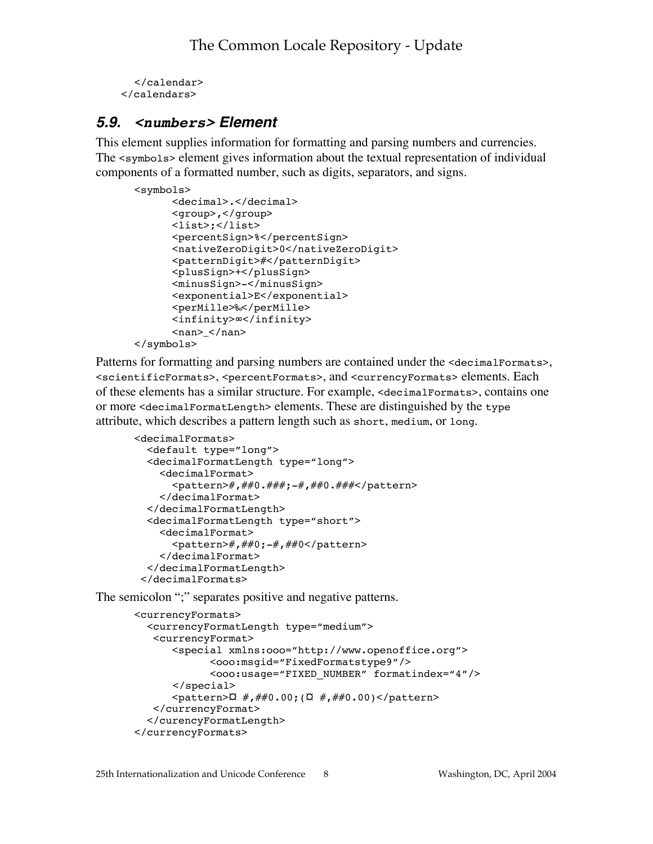```
</calendar>
 </calendars>
```
### **5.9. <numbers> Element**

This element supplies information for formatting and parsing numbers and currencies. The <symbols> element gives information about the textual representation of individual components of a formatted number, such as digits, separators, and signs.

```
<symbols>
       <decimal>.</decimal>
       <group>,</group>
       <list>;</list>
       <percentSign>%</percentSign>
       <nativeZeroDigit>0</nativeZeroDigit>
       <patternDigit>#</patternDigit>
       <plusSign>+</plusSign>
       <minusSign>-</minusSign>
       <exponential>E</exponential>
       <perMille>‰</perMille>
       <infinity>∞</infinity>
      <nan> </nan>
```
</symbols>

Patterns for formatting and parsing numbers are contained under the <decimalFormats>, <scientificFormats>, <percentFormats>, and <currencyFormats> elements. Each of these elements has a similar structure. For example, <decimalFormats>, contains one or more <decimalFormatLength> elements. These are distinguished by the type attribute, which describes a pattern length such as short, medium, or long.

```
<decimalFormats>
   <default type="long">
   <decimalFormatLength type="long">
     <decimalFormat>
      <pattern>#,##0.###;-#,##0.###</pattern>
     </decimalFormat>
   </decimalFormatLength>
   <decimalFormatLength type="short">
     <decimalFormat>
       <pattern>#,##0;-#,##0</pattern>
     </decimalFormat>
   </decimalFormatLength>
 </decimalFormats>
```
The semicolon ";" separates positive and negative patterns.

```
<currencyFormats>
   <currencyFormatLength type="medium">
    <currencyFormat>
       <special xmlns:ooo="http://www.openoffice.org">
              <ooo:msgid="FixedFormatstype9"/>
              <ooo:usage="FIXED_NUMBER" formatindex="4"/>
      </special>
      \epsilon <pattern>\alpha #,##0.00;(\alpha #,##0.00)</pattern>
    </currencyFormat>
   </curencyFormatLength>
</currencyFormats>
```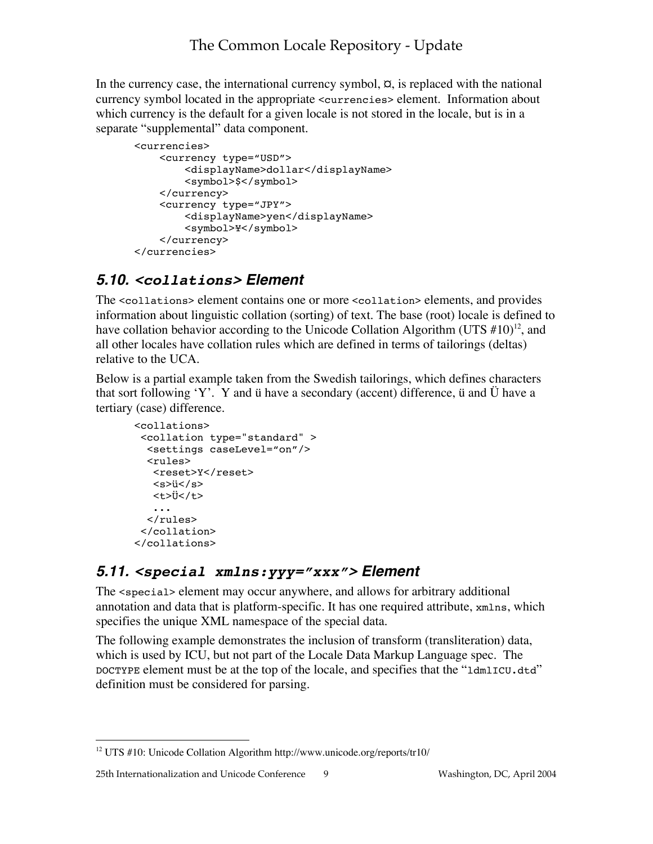In the currency case, the international currency symbol,  $\alpha$ , is replaced with the national currency symbol located in the appropriate <currencies> element. Information about which currency is the default for a given locale is not stored in the locale, but is in a separate "supplemental" data component.

```
<currencies>
     <currency type="USD">
         <displayName>dollar</displayName>
         <symbol>$</symbol>
     </currency>
     <currency type="JPY">
         <displayName>yen</displayName>
         <symbol>¥</symbol>
     </currency>
</currencies>
```
## **5.10. <collations> Element**

The <collations> element contains one or more <collation> elements, and provides information about linguistic collation (sorting) of text. The base (root) locale is defined to have collation behavior according to the Unicode Collation Algorithm (UTS  $\#10$ )<sup>12</sup>, and all other locales have collation rules which are defined in terms of tailorings (deltas) relative to the UCA.

Below is a partial example taken from the Swedish tailorings, which defines characters that sort following 'Y'. Y and ü have a secondary (accent) difference, ü and Ü have a tertiary (case) difference.

```
<collations>
  <collation type="standard" >
   <settings caseLevel="on"/>
   <rules>
   <reset>Y</reset>
    <s>ü</s>
    <t>Ü</t>
    ...
  \langlerules>
  </collation>
</collations>
```
## **5.11. <special xmlns:yyy="xxx"> Element**

The <special> element may occur anywhere, and allows for arbitrary additional annotation and data that is platform-specific. It has one required attribute, xmlns, which specifies the unique XML namespace of the special data.

The following example demonstrates the inclusion of transform (transliteration) data, which is used by ICU, but not part of the Locale Data Markup Language spec. The DOCTYPE element must be at the top of the locale, and specifies that the "ldmlICU.dtd" definition must be considered for parsing.

 <sup>12</sup> UTS #10: Unicode Collation Algorithm http://www.unicode.org/reports/tr10/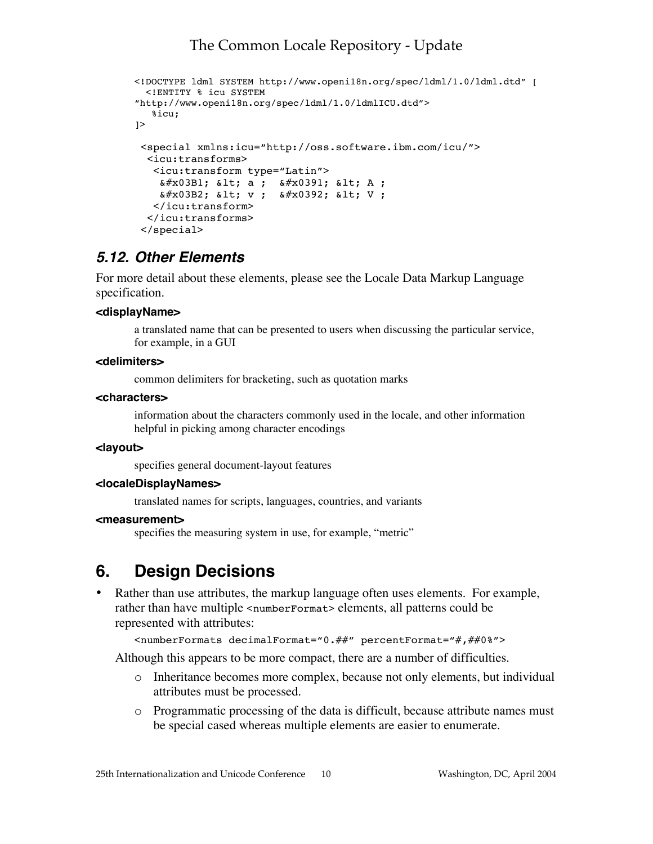```
<!DOCTYPE ldml SYSTEM http://www.openi18n.org/spec/ldml/1.0/ldml.dtd" [
  <!ENTITY % icu SYSTEM
"http://www.openi18n.org/spec/ldml/1.0/ldmlICU.dtd">
   %icu;
\geq <special xmlns:icu="http://oss.software.ibm.com/icu/">
   <icu:transforms>
    <icu:transform type="Latin">
    \frac{1}{2} (δ#x03B1; δ1t; a; δ#x0391; δ1t; A;
    & #x03B2; & 1t; v; & #x0392; & 1t; V;
    </icu:transform>
   </icu:transforms>
  </special>
```
### **5.12. Other Elements**

For more detail about these elements, please see the Locale Data Markup Language specification.

#### **<displayName>**

a translated name that can be presented to users when discussing the particular service, for example, in a GUI

#### **<delimiters>**

common delimiters for bracketing, such as quotation marks

#### **<characters>**

information about the characters commonly used in the locale, and other information helpful in picking among character encodings

#### **<layout>**

specifies general document-layout features

#### **<localeDisplayNames>**

translated names for scripts, languages, countries, and variants

#### **<measurement>**

specifies the measuring system in use, for example, "metric"

## **6. Design Decisions**

• Rather than use attributes, the markup language often uses elements. For example, rather than have multiple <numberFormat> elements, all patterns could be represented with attributes:

```
<numberFormats decimalFormat="0.##" percentFormat="#,##0%">
```
Although this appears to be more compact, there are a number of difficulties.

- o Inheritance becomes more complex, because not only elements, but individual attributes must be processed.
- o Programmatic processing of the data is difficult, because attribute names must be special cased whereas multiple elements are easier to enumerate.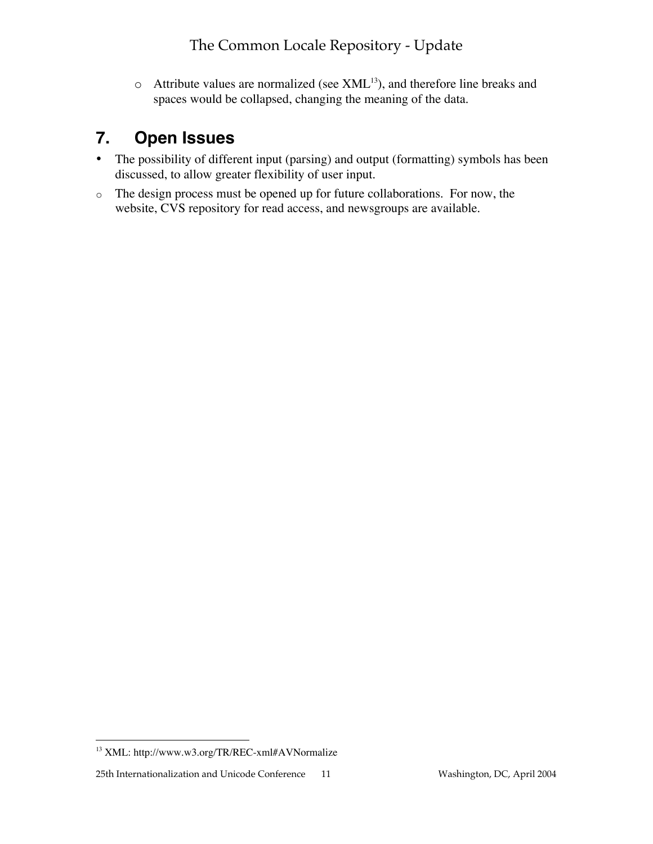$\circ$  Attribute values are normalized (see XML<sup>13</sup>), and therefore line breaks and spaces would be collapsed, changing the meaning of the data.

## **7. Open Issues**

- The possibility of different input (parsing) and output (formatting) symbols has been discussed, to allow greater flexibility of user input.
- o The design process must be opened up for future collaborations. For now, the website, CVS repository for read access, and newsgroups are available.

 <sup>13</sup> XML: http://www.w3.org/TR/REC-xml#AVNormalize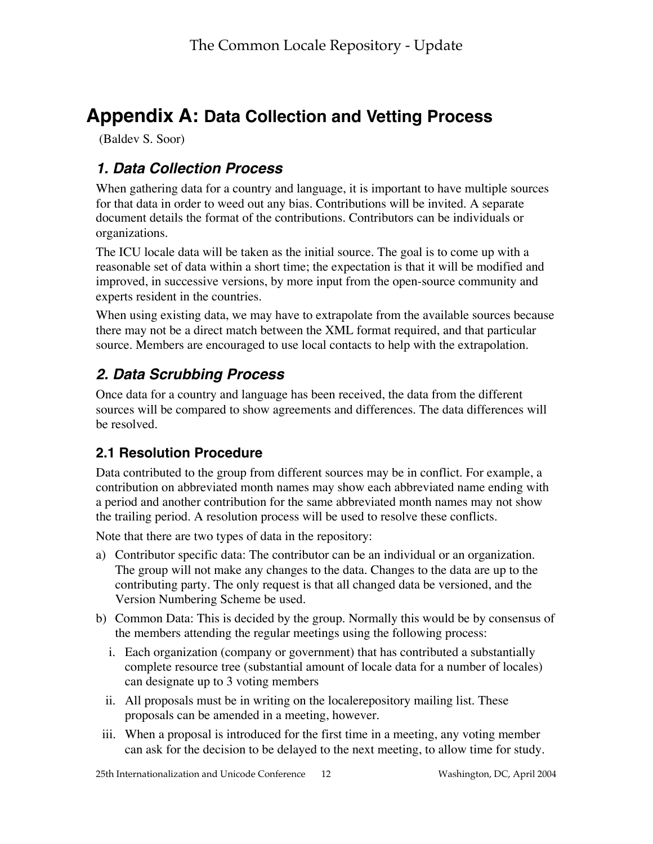# **Appendix A: Data Collection and Vetting Process**

(Baldev S. Soor)

## **1. Data Collection Process**

When gathering data for a country and language, it is important to have multiple sources for that data in order to weed out any bias. Contributions will be invited. A separate document details the format of the contributions. Contributors can be individuals or organizations.

The ICU locale data will be taken as the initial source. The goal is to come up with a reasonable set of data within a short time; the expectation is that it will be modified and improved, in successive versions, by more input from the open-source community and experts resident in the countries.

When using existing data, we may have to extrapolate from the available sources because there may not be a direct match between the XML format required, and that particular source. Members are encouraged to use local contacts to help with the extrapolation.

## **2. Data Scrubbing Process**

Once data for a country and language has been received, the data from the different sources will be compared to show agreements and differences. The data differences will be resolved.

## **2.1 Resolution Procedure**

Data contributed to the group from different sources may be in conflict. For example, a contribution on abbreviated month names may show each abbreviated name ending with a period and another contribution for the same abbreviated month names may not show the trailing period. A resolution process will be used to resolve these conflicts.

Note that there are two types of data in the repository:

- a) Contributor specific data: The contributor can be an individual or an organization. The group will not make any changes to the data. Changes to the data are up to the contributing party. The only request is that all changed data be versioned, and the Version Numbering Scheme be used.
- b) Common Data: This is decided by the group. Normally this would be by consensus of the members attending the regular meetings using the following process:
	- i. Each organization (company or government) that has contributed a substantially complete resource tree (substantial amount of locale data for a number of locales) can designate up to 3 voting members
	- ii. All proposals must be in writing on the localerepository mailing list. These proposals can be amended in a meeting, however.
- iii. When a proposal is introduced for the first time in a meeting, any voting member can ask for the decision to be delayed to the next meeting, to allow time for study.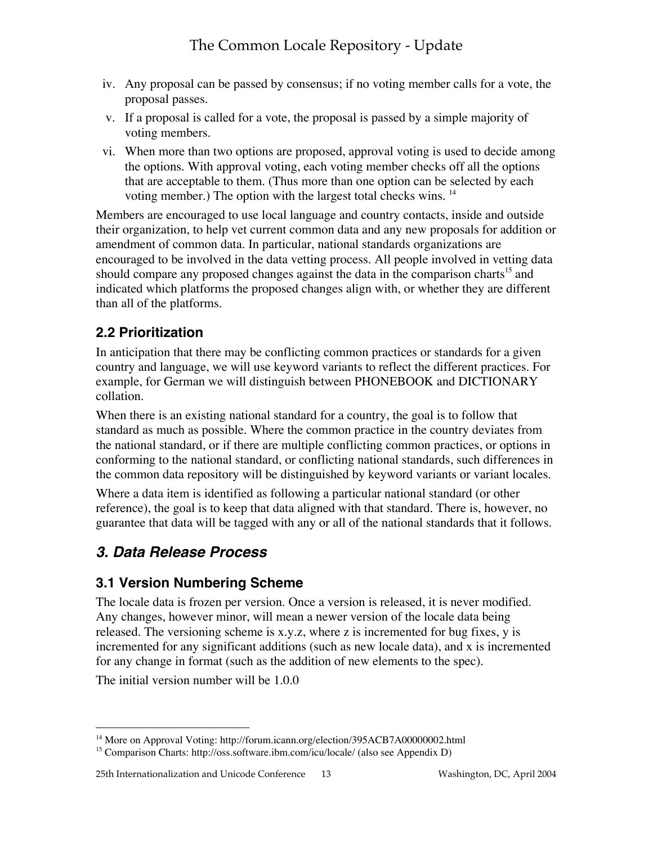- iv. Any proposal can be passed by consensus; if no voting member calls for a vote, the proposal passes.
- v. If a proposal is called for a vote, the proposal is passed by a simple majority of voting members.
- vi. When more than two options are proposed, approval voting is used to decide among the options. With approval voting, each voting member checks off all the options that are acceptable to them. (Thus more than one option can be selected by each voting member.) The option with the largest total checks wins. 14

Members are encouraged to use local language and country contacts, inside and outside their organization, to help vet current common data and any new proposals for addition or amendment of common data. In particular, national standards organizations are encouraged to be involved in the data vetting process. All people involved in vetting data should compare any proposed changes against the data in the comparison charts<sup>15</sup> and indicated which platforms the proposed changes align with, or whether they are different than all of the platforms.

### **2.2 Prioritization**

In anticipation that there may be conflicting common practices or standards for a given country and language, we will use keyword variants to reflect the different practices. For example, for German we will distinguish between PHONEBOOK and DICTIONARY collation.

When there is an existing national standard for a country, the goal is to follow that standard as much as possible. Where the common practice in the country deviates from the national standard, or if there are multiple conflicting common practices, or options in conforming to the national standard, or conflicting national standards, such differences in the common data repository will be distinguished by keyword variants or variant locales.

Where a data item is identified as following a particular national standard (or other reference), the goal is to keep that data aligned with that standard. There is, however, no guarantee that data will be tagged with any or all of the national standards that it follows.

## **3. Data Release Process**

### **3.1 Version Numbering Scheme**

The locale data is frozen per version. Once a version is released, it is never modified. Any changes, however minor, will mean a newer version of the locale data being released. The versioning scheme is x.y.z, where z is incremented for bug fixes, y is incremented for any significant additions (such as new locale data), and x is incremented for any change in format (such as the addition of new elements to the spec).

The initial version number will be 1.0.0

 <sup>14</sup> More on Approval Voting: http://forum.icann.org/election/395ACB7A00000002.html

<sup>&</sup>lt;sup>15</sup> Comparison Charts: http://oss.software.ibm.com/icu/locale/ (also see Appendix D)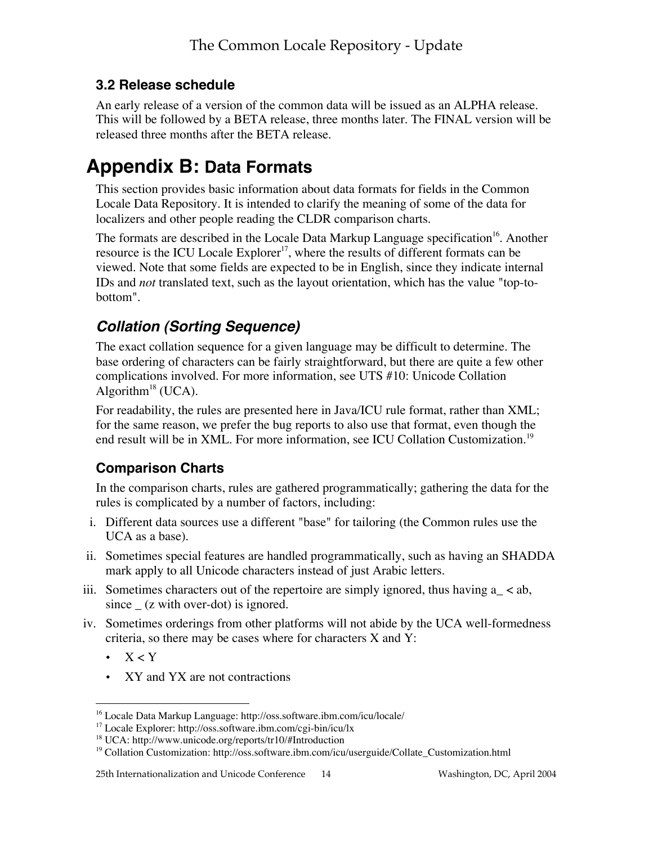## **3.2 Release schedule**

An early release of a version of the common data will be issued as an ALPHA release. This will be followed by a BETA release, three months later. The FINAL version will be released three months after the BETA release.

# **Appendix B: Data Formats**

This section provides basic information about data formats for fields in the Common Locale Data Repository. It is intended to clarify the meaning of some of the data for localizers and other people reading the CLDR comparison charts.

The formats are described in the Locale Data Markup Language specification<sup>16</sup>. Another resource is the ICU Locale Explorer<sup>17</sup>, where the results of different formats can be viewed. Note that some fields are expected to be in English, since they indicate internal IDs and *not* translated text, such as the layout orientation, which has the value "top-tobottom".

## **Collation (Sorting Sequence)**

The exact collation sequence for a given language may be difficult to determine. The base ordering of characters can be fairly straightforward, but there are quite a few other complications involved. For more information, see UTS #10: Unicode Collation Algorithm<sup>18</sup> (UCA).

For readability, the rules are presented here in Java/ICU rule format, rather than XML; for the same reason, we prefer the bug reports to also use that format, even though the end result will be in XML. For more information, see ICU Collation Customization.<sup>19</sup>

## **Comparison Charts**

In the comparison charts, rules are gathered programmatically; gathering the data for the rules is complicated by a number of factors, including:

- i. Different data sources use a different "base" for tailoring (the Common rules use the UCA as a base).
- ii. Sometimes special features are handled programmatically, such as having an SHADDA mark apply to all Unicode characters instead of just Arabic letters.
- iii. Sometimes characters out of the repertoire are simply ignored, thus having  $a_{-} < ab$ , since  $(z \text{ with over-dot})$  is ignored.
- iv. Sometimes orderings from other platforms will not abide by the UCA well-formedness criteria, so there may be cases where for characters X and Y:
	- $\bullet$  X < Y
	- XY and YX are not contractions

 <sup>16</sup> Locale Data Markup Language: http://oss.software.ibm.com/icu/locale/

<sup>17</sup> Locale Explorer: http://oss.software.ibm.com/cgi-bin/icu/lx

<sup>&</sup>lt;sup>18</sup> UCA: http://www.unicode.org/reports/tr10/#Introduction

<sup>&</sup>lt;sup>19</sup> Collation Customization: http://oss.software.ibm.com/icu/userguide/Collate\_Customization.html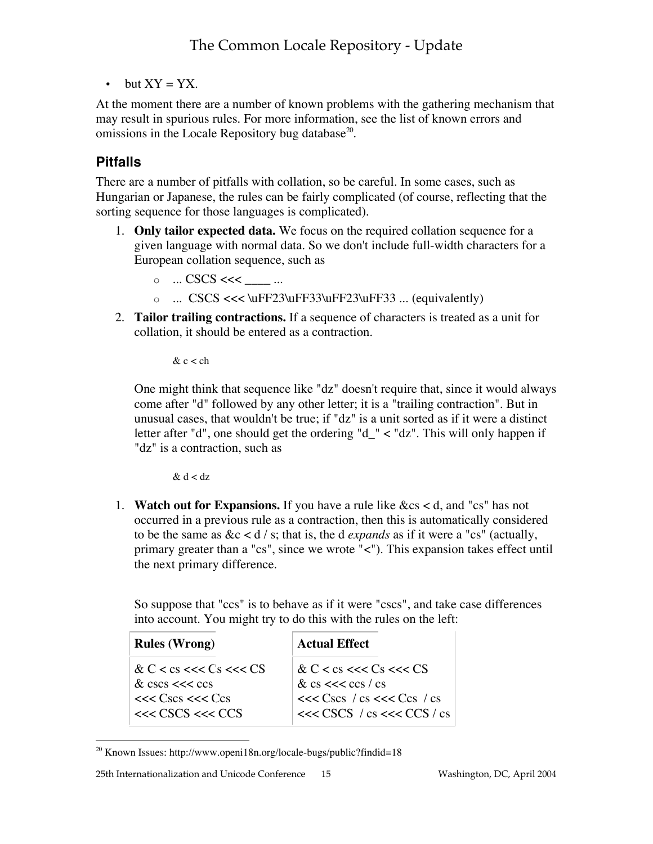• but  $XY = YX$ .

At the moment there are a number of known problems with the gathering mechanism that may result in spurious rules. For more information, see the list of known errors and omissions in the Locale Repository bug database<sup>20</sup>.

### **Pitfalls**

There are a number of pitfalls with collation, so be careful. In some cases, such as Hungarian or Japanese, the rules can be fairly complicated (of course, reflecting that the sorting sequence for those languages is complicated).

- 1. **Only tailor expected data.** We focus on the required collation sequence for a given language with normal data. So we don't include full-width characters for a European collation sequence, such as
	- $\circ$   $\ldots$  CSCS <<<  $\_\ldots$  ...
	- o ... CSCS <<< \uFF23\uFF33\uFF23\uFF33 ... (equivalently)
- 2. **Tailor trailing contractions.** If a sequence of characters is treated as a unit for collation, it should be entered as a contraction.

 $& c <$ ch

One might think that sequence like "dz" doesn't require that, since it would always come after "d" followed by any other letter; it is a "trailing contraction". But in unusual cases, that wouldn't be true; if "dz" is a unit sorted as if it were a distinct letter after "d", one should get the ordering "d\_" < "dz". This will only happen if "dz" is a contraction, such as

 $& d < dz$ 

1. **Watch out for Expansions.** If you have a rule like &cs < d, and "cs" has not occurred in a previous rule as a contraction, then this is automatically considered to be the same as  $&c < d / s$ ; that is, the d *expands* as if it were a "cs" (actually, primary greater than a "cs", since we wrote "<"). This expansion takes effect until the next primary difference.

So suppose that "ccs" is to behave as if it were "cscs", and take case differences into account. You might try to do this with the rules on the left:

| <b>Rules (Wrong)</b>                                                  | <b>Actual Effect</b>                                                         |
|-----------------------------------------------------------------------|------------------------------------------------------------------------------|
| & $C < cs << Cs << CS$<br>& $\csc s \ll \csc s$<br>$<<$ Cscs $<<$ Ccs | & C < cs <<< Cs <<< CS<br>& cs $<<$ ccs / cs<br>$<<$ Cscs / cs $<<$ Ccs / cs |
| $<<$ CSCS $<<$ CCS                                                    | $<<$ CSCS / cs $<<$ CCS / cs                                                 |

 <sup>20</sup> Known Issues: http://www.openi18n.org/locale-bugs/public?findid=18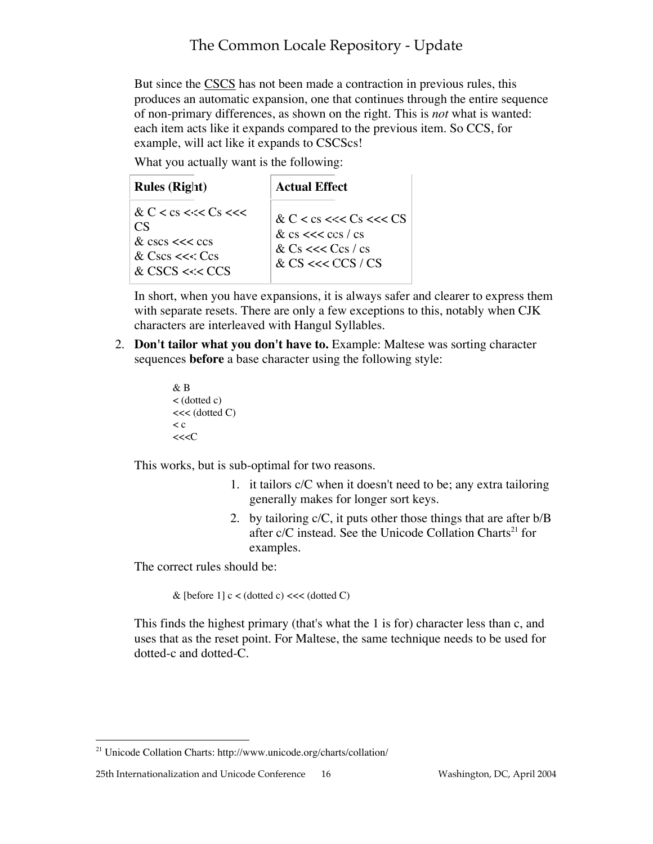But since the CSCS has not been made a contraction in previous rules, this produces an automatic expansion, one that continues through the entire sequence of non-primary differences, as shown on the right. This is *not* what is wanted: each item acts like it expands compared to the previous item. So CCS, for example, will act like it expands to CSCScs!

What you actually want is the following:

| <b>Rules (Right)</b>                                                                                     | Actual Effect                                                                                                    |
|----------------------------------------------------------------------------------------------------------|------------------------------------------------------------------------------------------------------------------|
| & C < cs < $<<$ Cs < $<<$<br>CS<br>$&$ cscs $<<$ ccs<br>& $\text{Cscs} \ll \text{Ccs}$<br>& CSCS <<< CCS | & C < cs <<< Cs <<< Cs <<br>$\&$ cs $<<$ ccs / cs<br>& $Cs \ll \ll Ccs / cs$<br>& $CS \ll \ll \mathbb{CC}S / CS$ |

In short, when you have expansions, it is always safer and clearer to express them with separate resets. There are only a few exceptions to this, notably when CJK characters are interleaved with Hangul Syllables.

2. **Don't tailor what you don't have to.** Example: Maltese was sorting character sequences **before** a base character using the following style:

```
& B
< (dotted c)
<< (dotted C)
\lt c<<<C
```
This works, but is sub-optimal for two reasons.

- 1. it tailors c/C when it doesn't need to be; any extra tailoring generally makes for longer sort keys.
- 2. by tailoring c/C, it puts other those things that are after b/B after c/C instead. See the Unicode Collation Charts<sup>21</sup> for examples.

The correct rules should be:

& [before 1]  $c < (dotted \ c) << (dotted \ C)$ 

This finds the highest primary (that's what the 1 is for) character less than c, and uses that as the reset point. For Maltese, the same technique needs to be used for dotted-c and dotted-C.

 <sup>21</sup> Unicode Collation Charts: http://www.unicode.org/charts/collation/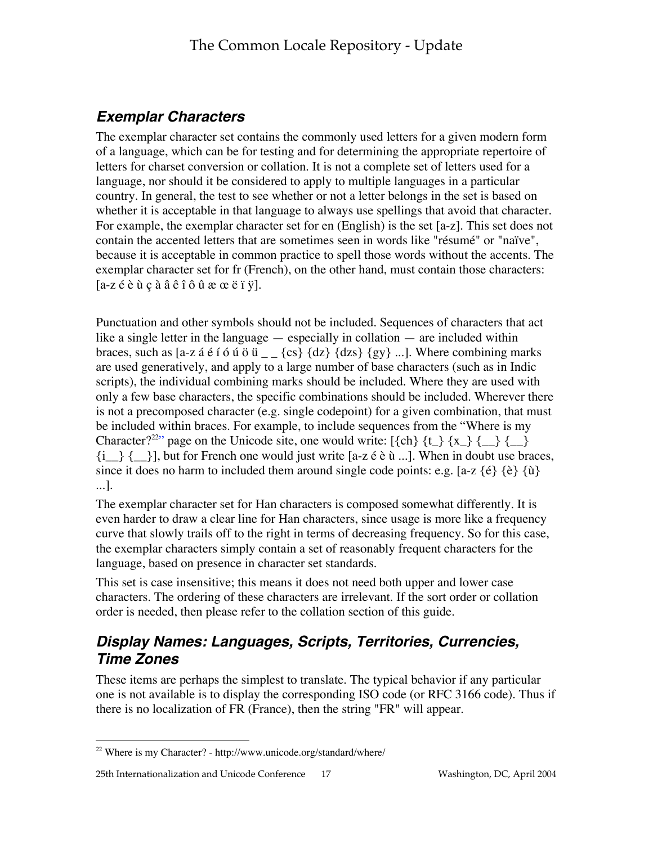## **Exemplar Characters**

The exemplar character set contains the commonly used letters for a given modern form of a language, which can be for testing and for determining the appropriate repertoire of letters for charset conversion or collation. It is not a complete set of letters used for a language, nor should it be considered to apply to multiple languages in a particular country. In general, the test to see whether or not a letter belongs in the set is based on whether it is acceptable in that language to always use spellings that avoid that character. For example, the exemplar character set for en (English) is the set [a-z]. This set does not contain the accented letters that are sometimes seen in words like "résumé" or "naïve", because it is acceptable in common practice to spell those words without the accents. The exemplar character set for fr (French), on the other hand, must contain those characters:  $[a-z \notin \hat{e} \mathbf{\hat{u}} \in \hat{a} \mathbf{\hat{a}} \hat{e} \mathbf{\hat{i}} \hat{o} \mathbf{\hat{u}} \times \hat{c} \hat{e} \mathbf{\hat{i}} \mathbf{\hat{y}}].$ 

Punctuation and other symbols should not be included. Sequences of characters that act like a single letter in the language — especially in collation — are included within braces, such as [a-z á é í ó ú ö ü  $_{-}$  {cs} {dz} {dzs} {gy} ...]. Where combining marks are used generatively, and apply to a large number of base characters (such as in Indic scripts), the individual combining marks should be included. Where they are used with only a few base characters, the specific combinations should be included. Wherever there is not a precomposed character (e.g. single codepoint) for a given combination, that must be included within braces. For example, to include sequences from the "Where is my Character?<sup>22</sup>" page on the Unicode site, one would write: [{ch} {t\_} {x\_} {\_\_} {\_\_}  $\{i\}\$ , but for French one would just write [a-z é è ù ...]. When in doubt use braces, since it does no harm to included them around single code points: e.g. [a-z  $\{\hat{e}\}\{\hat{e}\}\{\hat{u}\}\$ ...].

The exemplar character set for Han characters is composed somewhat differently. It is even harder to draw a clear line for Han characters, since usage is more like a frequency curve that slowly trails off to the right in terms of decreasing frequency. So for this case, the exemplar characters simply contain a set of reasonably frequent characters for the language, based on presence in character set standards.

This set is case insensitive; this means it does not need both upper and lower case characters. The ordering of these characters are irrelevant. If the sort order or collation order is needed, then please refer to the collation section of this guide.

## **Display Names: Languages, Scripts, Territories, Currencies, Time Zones**

These items are perhaps the simplest to translate. The typical behavior if any particular one is not available is to display the corresponding ISO code (or RFC 3166 code). Thus if there is no localization of FR (France), then the string "FR" will appear.

 <sup>22</sup> Where is my Character? - http://www.unicode.org/standard/where/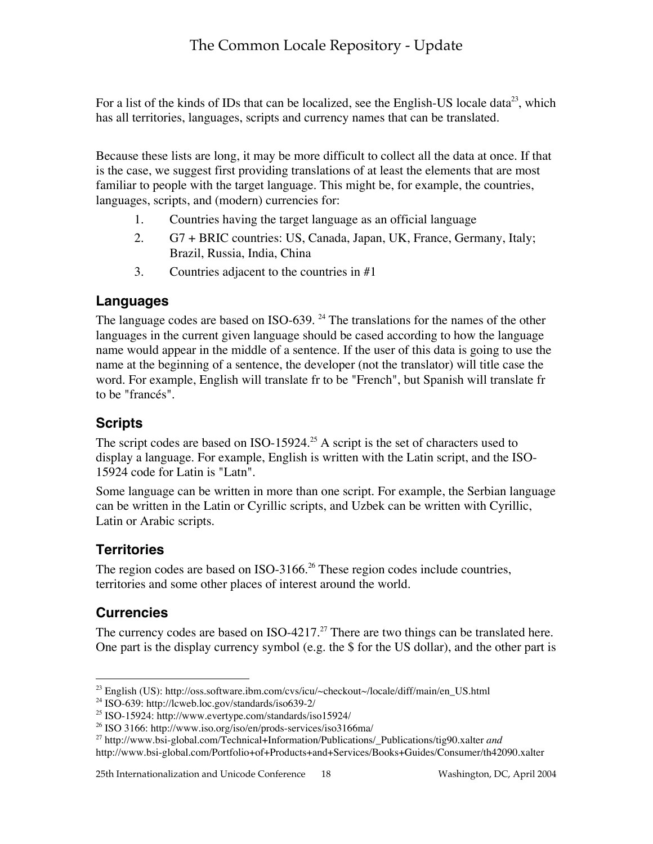For a list of the kinds of IDs that can be localized, see the English-US locale data<sup>23</sup>, which has all territories, languages, scripts and currency names that can be translated.

Because these lists are long, it may be more difficult to collect all the data at once. If that is the case, we suggest first providing translations of at least the elements that are most familiar to people with the target language. This might be, for example, the countries, languages, scripts, and (modern) currencies for:

- 1. Countries having the target language as an official language
- 2. G7 + BRIC countries: US, Canada, Japan, UK, France, Germany, Italy; Brazil, Russia, India, China
- 3. Countries adjacent to the countries in #1

### **Languages**

The language codes are based on ISO-639.  $^{24}$  The translations for the names of the other languages in the current given language should be cased according to how the language name would appear in the middle of a sentence. If the user of this data is going to use the name at the beginning of a sentence, the developer (not the translator) will title case the word. For example, English will translate fr to be "French", but Spanish will translate fr to be "francés".

### **Scripts**

The script codes are based on ISO-15924.<sup>25</sup> A script is the set of characters used to display a language. For example, English is written with the Latin script, and the ISO-15924 code for Latin is "Latn".

Some language can be written in more than one script. For example, the Serbian language can be written in the Latin or Cyrillic scripts, and Uzbek can be written with Cyrillic, Latin or Arabic scripts.

### **Territories**

The region codes are based on ISO-3166. $^{26}$  These region codes include countries, territories and some other places of interest around the world.

### **Currencies**

The currency codes are based on  $ISO-4217.^{27}$  There are two things can be translated here. One part is the display currency symbol (e.g. the \$ for the US dollar), and the other part is

 <sup>23</sup> English (US): http://oss.software.ibm.com/cvs/icu/~checkout~/locale/diff/main/en\_US.html

<sup>24</sup> ISO-639: http://lcweb.loc.gov/standards/iso639-2/

<sup>&</sup>lt;sup>25</sup> ISO-15924: http://www.evertype.com/standards/iso15924/

<sup>26</sup> ISO 3166: http://www.iso.org/iso/en/prods-services/iso3166ma/

<sup>27</sup> http://www.bsi-global.com/Technical+Information/Publications/\_Publications/tig90.xalter *and*

http://www.bsi-global.com/Portfolio+of+Products+and+Services/Books+Guides/Consumer/th42090.xalter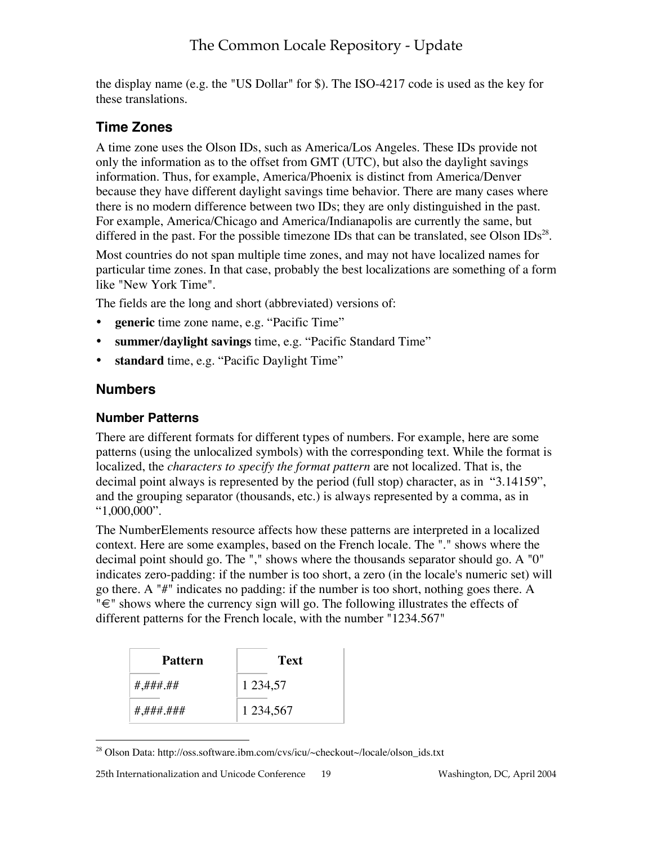the display name (e.g. the "US Dollar" for \$). The ISO-4217 code is used as the key for these translations.

### **Time Zones**

A time zone uses the Olson IDs, such as America/Los Angeles. These IDs provide not only the information as to the offset from GMT (UTC), but also the daylight savings information. Thus, for example, America/Phoenix is distinct from America/Denver because they have different daylight savings time behavior. There are many cases where there is no modern difference between two IDs; they are only distinguished in the past. For example, America/Chicago and America/Indianapolis are currently the same, but differed in the past. For the possible timezone IDs that can be translated, see Olson IDs<sup>28</sup>.

Most countries do not span multiple time zones, and may not have localized names for particular time zones. In that case, probably the best localizations are something of a form like "New York Time".

The fields are the long and short (abbreviated) versions of:

- **generic** time zone name, e.g. "Pacific Time"
- **summer/daylight savings** time, e.g. "Pacific Standard Time"
- standard time, e.g. "Pacific Daylight Time"

### **Numbers**

#### **Number Patterns**

There are different formats for different types of numbers. For example, here are some patterns (using the unlocalized symbols) with the corresponding text. While the format is localized, the *characters to specify the format pattern* are not localized. That is, the decimal point always is represented by the period (full stop) character, as in "3.14159", and the grouping separator (thousands, etc.) is always represented by a comma, as in "1,000,000".

The NumberElements resource affects how these patterns are interpreted in a localized context. Here are some examples, based on the French locale. The "." shows where the decimal point should go. The "," shows where the thousands separator should go. A "0" indicates zero-padding: if the number is too short, a zero (in the locale's numeric set) will go there. A "#" indicates no padding: if the number is too short, nothing goes there. A "€" shows where the currency sign will go. The following illustrates the effects of different patterns for the French locale, with the number "1234.567"

| Pattern   | Text          |  |  |  |  |
|-----------|---------------|--|--|--|--|
| #,###.##  | 1 2 3 4 5 7   |  |  |  |  |
| #,###.### | 1 2 3 4 5 6 7 |  |  |  |  |

 <sup>28</sup> Olson Data: http://oss.software.ibm.com/cvs/icu/~checkout~/locale/olson\_ids.txt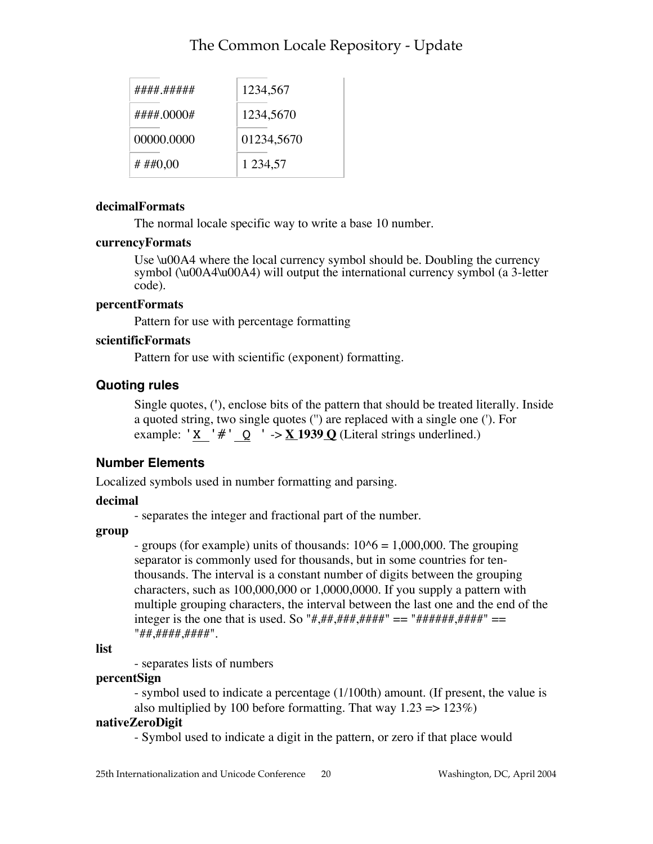| #### ##### | 1234,567    |
|------------|-------------|
| #### 0000# | 1234,5670   |
| 00000.0000 | 01234,5670  |
| # ##0,00   | 1 2 3 4 5 7 |

#### **decimalFormats**

The normal locale specific way to write a base 10 number.

#### **currencyFormats**

Use \u00A4 where the local currency symbol should be. Doubling the currency symbol (\u00A4\u00A4) will output the international currency symbol (a 3-letter code).

#### **percentFormats**

Pattern for use with percentage formatting

#### **scientificFormats**

Pattern for use with scientific (exponent) formatting.

#### **Quoting rules**

Single quotes, (**'**), enclose bits of the pattern that should be treated literally. Inside a quoted string, two single quotes ('') are replaced with a single one ('). For example: 'X '#'  $Q$  ' ->  $\underline{X}$  1939  $\underline{O}$  (Literal strings underlined.)

### **Number Elements**

Localized symbols used in number formatting and parsing.

#### **decimal**

- separates the integer and fractional part of the number.

#### **group**

- groups (for example) units of thousands:  $10<sup>6</sup> = 1,000,000$ . The grouping separator is commonly used for thousands, but in some countries for tenthousands. The interval is a constant number of digits between the grouping characters, such as 100,000,000 or 1,0000,0000. If you supply a pattern with multiple grouping characters, the interval between the last one and the end of the integer is the one that is used. So "#,##,###,####" == "######,####" == "##,####,####".

**list**

- separates lists of numbers

#### **percentSign**

- symbol used to indicate a percentage (1/100th) amount. (If present, the value is also multiplied by 100 before formatting. That way  $1.23 \approx 123\%$ )

#### **nativeZeroDigit**

- Symbol used to indicate a digit in the pattern, or zero if that place would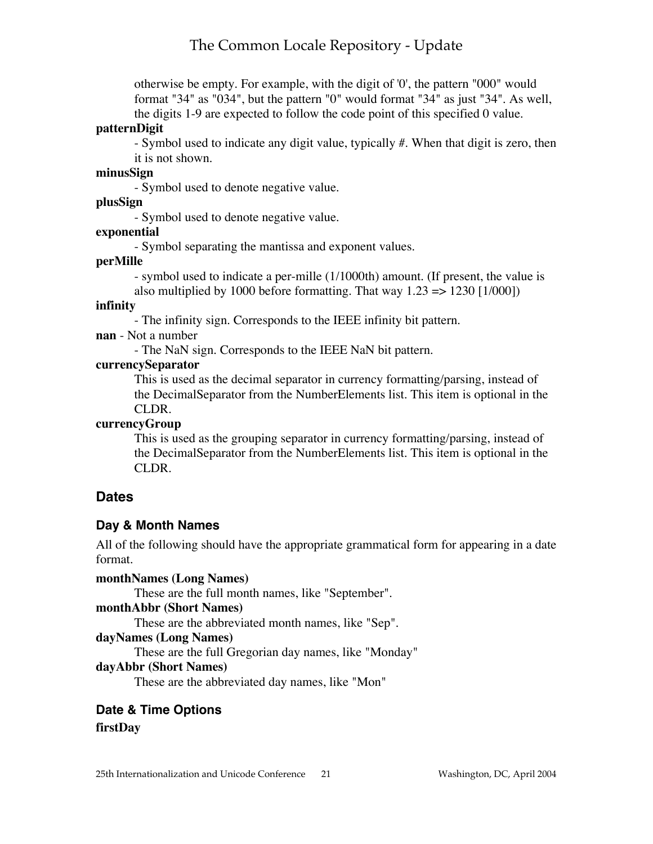otherwise be empty. For example, with the digit of '0', the pattern "000" would format "34" as "034", but the pattern "0" would format "34" as just "34". As well, the digits 1-9 are expected to follow the code point of this specified 0 value.

#### **patternDigit**

- Symbol used to indicate any digit value, typically #. When that digit is zero, then it is not shown.

#### **minusSign**

- Symbol used to denote negative value.

#### **plusSign**

- Symbol used to denote negative value.

#### **exponential**

- Symbol separating the mantissa and exponent values.

#### **perMille**

- symbol used to indicate a per-mille (1/1000th) amount. (If present, the value is also multiplied by 1000 before formatting. That way  $1.23 \approx 1230$  [1/000])

#### **infinity**

- The infinity sign. Corresponds to the IEEE infinity bit pattern.

#### **nan** - Not a number

- The NaN sign. Corresponds to the IEEE NaN bit pattern.

#### **currencySeparator**

This is used as the decimal separator in currency formatting/parsing, instead of the DecimalSeparator from the NumberElements list. This item is optional in the CLDR.

#### **currencyGroup**

This is used as the grouping separator in currency formatting/parsing, instead of the DecimalSeparator from the NumberElements list. This item is optional in the CLDR.

#### **Dates**

#### **Day & Month Names**

All of the following should have the appropriate grammatical form for appearing in a date format.

**monthNames (Long Names)** These are the full month names, like "September". **monthAbbr (Short Names)** These are the abbreviated month names, like "Sep". **dayNames (Long Names)** These are the full Gregorian day names, like "Monday" **dayAbbr (Short Names)**

These are the abbreviated day names, like "Mon"

#### **Date & Time Options**

#### **firstDay**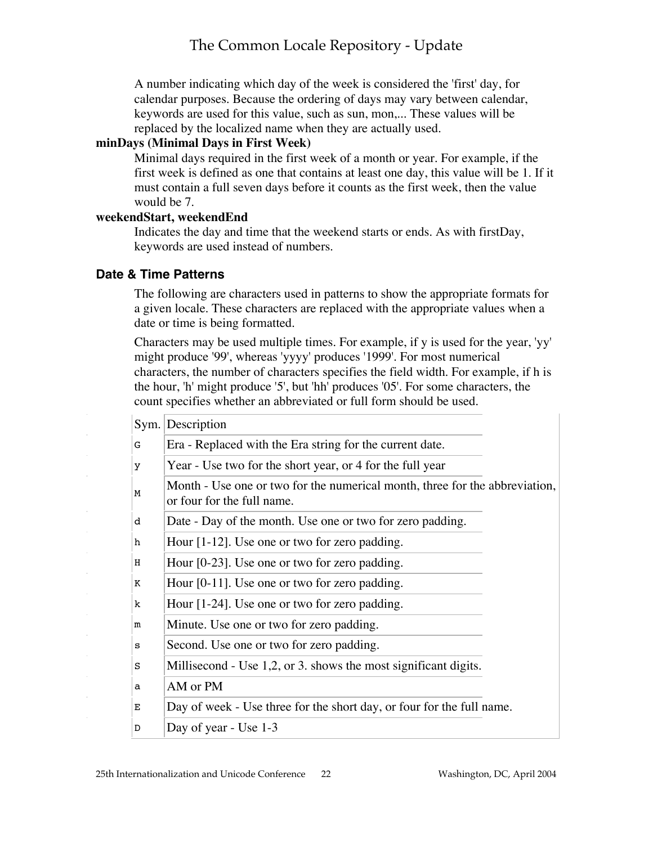A number indicating which day of the week is considered the 'first' day, for calendar purposes. Because the ordering of days may vary between calendar, keywords are used for this value, such as sun, mon,... These values will be replaced by the localized name when they are actually used.

#### **minDays (Minimal Days in First Week)**

Minimal days required in the first week of a month or year. For example, if the first week is defined as one that contains at least one day, this value will be 1. If it must contain a full seven days before it counts as the first week, then the value would be 7.

#### **weekendStart, weekendEnd**

Indicates the day and time that the weekend starts or ends. As with firstDay, keywords are used instead of numbers.

#### **Date & Time Patterns**

The following are characters used in patterns to show the appropriate formats for a given locale. These characters are replaced with the appropriate values when a date or time is being formatted.

Characters may be used multiple times. For example, if y is used for the year, 'yy' might produce '99', whereas 'yyyy' produces '1999'. For most numerical characters, the number of characters specifies the field width. For example, if h is the hour, 'h' might produce '5', but 'hh' produces '05'. For some characters, the count specifies whether an abbreviated or full form should be used.

|   | Sym. Description                                                                                          |  |
|---|-----------------------------------------------------------------------------------------------------------|--|
| G | Era - Replaced with the Era string for the current date.                                                  |  |
| У | Year - Use two for the short year, or 4 for the full year                                                 |  |
| M | Month - Use one or two for the numerical month, three for the abbreviation,<br>or four for the full name. |  |
| d | Date - Day of the month. Use one or two for zero padding.                                                 |  |
| h | Hour $[1-12]$ . Use one or two for zero padding.                                                          |  |
| Н | Hour $[0-23]$ . Use one or two for zero padding.                                                          |  |
| Κ | Hour [0-11]. Use one or two for zero padding.                                                             |  |
| k | Hour $[1-24]$ . Use one or two for zero padding.                                                          |  |
| m | Minute. Use one or two for zero padding.                                                                  |  |
| s | Second. Use one or two for zero padding.                                                                  |  |
| S | Millisecond - Use 1,2, or 3. shows the most significant digits.                                           |  |
| а | AM or PM                                                                                                  |  |
| Е | Day of week - Use three for the short day, or four for the full name.                                     |  |
| D | Day of year - Use 1-3                                                                                     |  |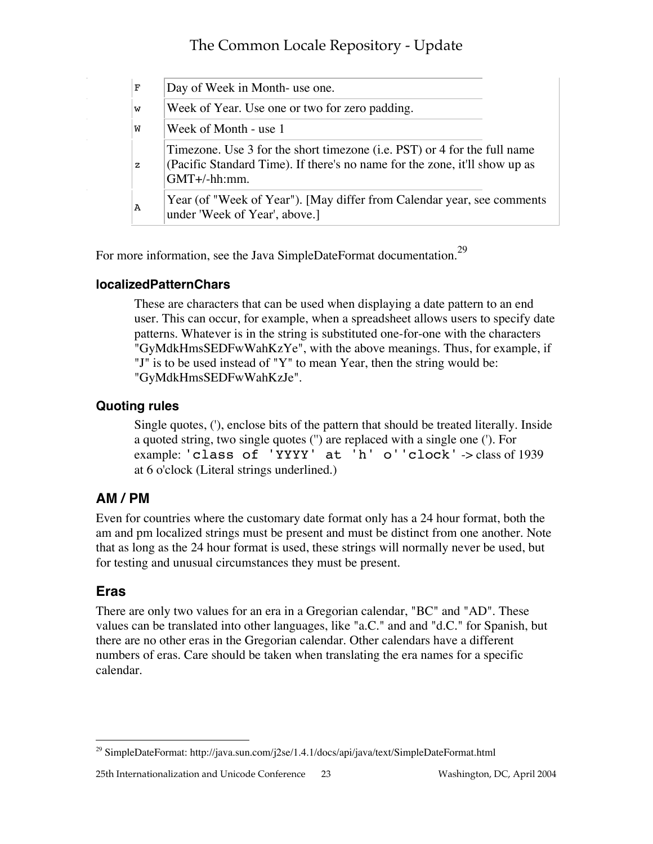| F            | Day of Week in Month- use one.                                                                                                                                           |  |
|--------------|--------------------------------------------------------------------------------------------------------------------------------------------------------------------------|--|
| W            | Week of Year. Use one or two for zero padding.                                                                                                                           |  |
| W            | Week of Month - use 1                                                                                                                                                    |  |
| $\mathbf{z}$ | Timezone. Use 3 for the short timezone (i.e. PST) or 4 for the full name<br>(Pacific Standard Time). If there's no name for the zone, it'll show up as<br>$GMT+/-hh:mm.$ |  |
| А            | Year (of "Week of Year"). [May differ from Calendar year, see comments<br>under 'Week of Year', above.]                                                                  |  |

For more information, see the Java SimpleDateFormat documentation.<sup>29</sup>

#### **localizedPatternChars**

These are characters that can be used when displaying a date pattern to an end user. This can occur, for example, when a spreadsheet allows users to specify date patterns. Whatever is in the string is substituted one-for-one with the characters "GyMdkHmsSEDFwWahKzYe", with the above meanings. Thus, for example, if "J" is to be used instead of "Y" to mean Year, then the string would be: "GyMdkHmsSEDFwWahKzJe".

#### **Quoting rules**

Single quotes, ('), enclose bits of the pattern that should be treated literally. Inside a quoted string, two single quotes ('') are replaced with a single one ('). For example: 'class of 'YYYY' at 'h' o''clock' -> class of 1939 at 6 o'clock (Literal strings underlined.)

### **AM / PM**

Even for countries where the customary date format only has a 24 hour format, both the am and pm localized strings must be present and must be distinct from one another. Note that as long as the 24 hour format is used, these strings will normally never be used, but for testing and unusual circumstances they must be present.

### **Eras**

There are only two values for an era in a Gregorian calendar, "BC" and "AD". These values can be translated into other languages, like "a.C." and and "d.C." for Spanish, but there are no other eras in the Gregorian calendar. Other calendars have a different numbers of eras. Care should be taken when translating the era names for a specific calendar.

 <sup>29</sup> SimpleDateFormat: http://java.sun.com/j2se/1.4.1/docs/api/java/text/SimpleDateFormat.html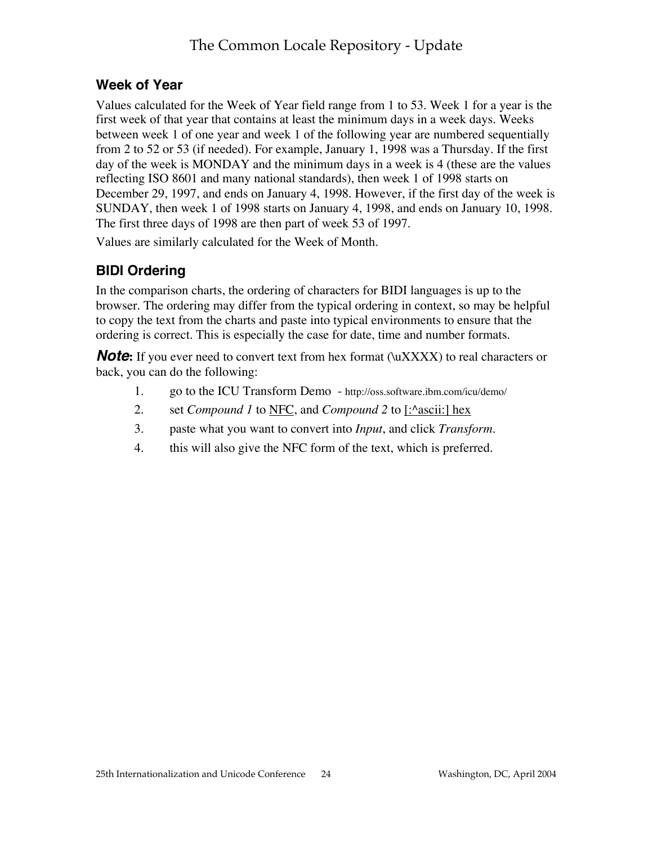### **Week of Year**

Values calculated for the Week of Year field range from 1 to 53. Week 1 for a year is the first week of that year that contains at least the minimum days in a week days. Weeks between week 1 of one year and week 1 of the following year are numbered sequentially from 2 to 52 or 53 (if needed). For example, January 1, 1998 was a Thursday. If the first day of the week is MONDAY and the minimum days in a week is 4 (these are the values reflecting ISO 8601 and many national standards), then week 1 of 1998 starts on December 29, 1997, and ends on January 4, 1998. However, if the first day of the week is SUNDAY, then week 1 of 1998 starts on January 4, 1998, and ends on January 10, 1998. The first three days of 1998 are then part of week 53 of 1997.

Values are similarly calculated for the Week of Month.

## **BIDI Ordering**

In the comparison charts, the ordering of characters for BIDI languages is up to the browser. The ordering may differ from the typical ordering in context, so may be helpful to copy the text from the charts and paste into typical environments to ensure that the ordering is correct. This is especially the case for date, time and number formats.

**Note:** If you ever need to convert text from hex format (\uXXXX) to real characters or back, you can do the following:

- 1. go to the ICU Transform Demo http://oss.software.ibm.com/icu/demo/
- 2. set *Compound 1* to <u>NFC</u>, and *Compound 2* to [:<sup>^</sup>ascii:] hex
- 3. paste what you want to convert into *Input*, and click *Transform*.
- 4. this will also give the NFC form of the text, which is preferred.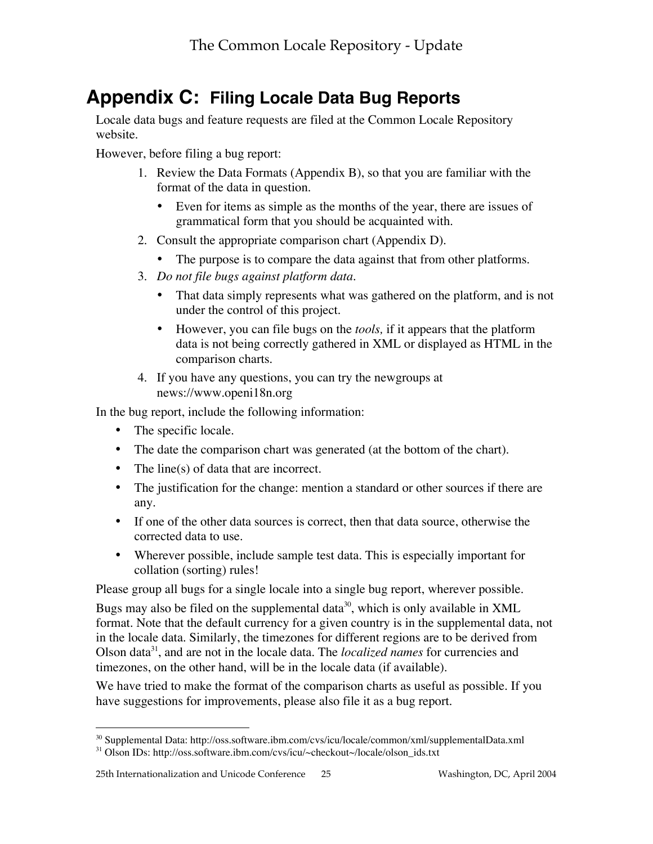# **Appendix C: Filing Locale Data Bug Reports**

Locale data bugs and feature requests are filed at the Common Locale Repository website.

However, before filing a bug report:

- 1. Review the Data Formats (Appendix B), so that you are familiar with the format of the data in question.
	- Even for items as simple as the months of the year, there are issues of grammatical form that you should be acquainted with.
- 2. Consult the appropriate comparison chart (Appendix D).
	- The purpose is to compare the data against that from other platforms.
- 3. *Do not file bugs against platform data.*
	- That data simply represents what was gathered on the platform, and is not under the control of this project.
	- However, you can file bugs on the *tools,* if it appears that the platform data is not being correctly gathered in XML or displayed as HTML in the comparison charts.
- 4. If you have any questions, you can try the newgroups at news://www.openi18n.org

In the bug report, include the following information:

- The specific locale.
- The date the comparison chart was generated (at the bottom of the chart).
- The line(s) of data that are incorrect.
- The justification for the change: mention a standard or other sources if there are any.
- If one of the other data sources is correct, then that data source, otherwise the corrected data to use.
- Wherever possible, include sample test data. This is especially important for collation (sorting) rules!

Please group all bugs for a single locale into a single bug report, wherever possible.

Bugs may also be filed on the supplemental data<sup>30</sup>, which is only available in XML format. Note that the default currency for a given country is in the supplemental data, not in the locale data. Similarly, the timezones for different regions are to be derived from Olson data<sup>31</sup>, and are not in the locale data. The *localized names* for currencies and timezones, on the other hand, will be in the locale data (if available).

We have tried to make the format of the comparison charts as useful as possible. If you have suggestions for improvements, please also file it as a bug report.

 <sup>30</sup> Supplemental Data: http://oss.software.ibm.com/cvs/icu/locale/common/xml/supplementalData.xml

<sup>&</sup>lt;sup>31</sup> Olson IDs: http://oss.software.ibm.com/cvs/icu/~checkout~/locale/olson\_ids.txt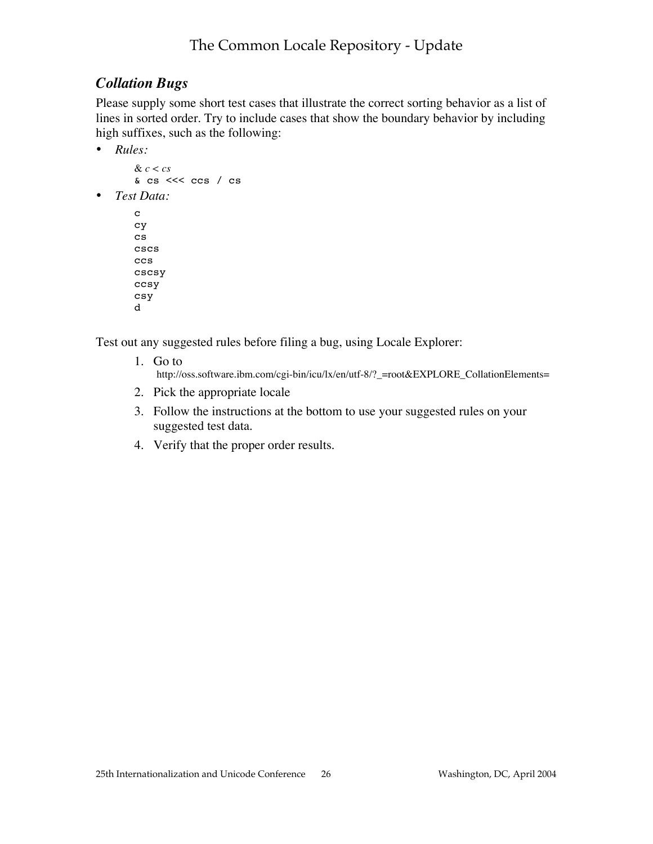## *Collation Bugs*

Please supply some short test cases that illustrate the correct sorting behavior as a list of lines in sorted order. Try to include cases that show the boundary behavior by including high suffixes, such as the following:

• *Rules:*

```
& c < cs
& cs <<< ccs / cs
```
• *Test Data:*

```
c
cy
cs
cscs
ccs
cscsy
ccsy
csy
d
```
Test out any suggested rules before filing a bug, using Locale Explorer:

- 1. Go to http://oss.software.ibm.com/cgi-bin/icu/lx/en/utf-8/?\_=root&EXPLORE\_CollationElements=
- 2. Pick the appropriate locale
- 3. Follow the instructions at the bottom to use your suggested rules on your suggested test data.
- 4. Verify that the proper order results.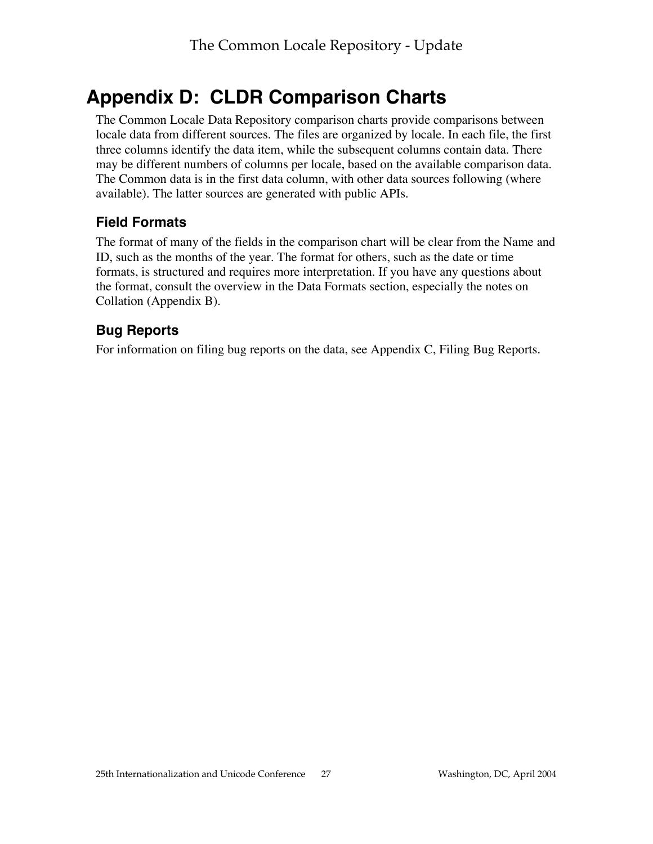# **Appendix D: CLDR Comparison Charts**

The Common Locale Data Repository comparison charts provide comparisons between locale data from different sources. The files are organized by locale. In each file, the first three columns identify the data item, while the subsequent columns contain data. There may be different numbers of columns per locale, based on the available comparison data. The Common data is in the first data column, with other data sources following (where available). The latter sources are generated with public APIs.

## **Field Formats**

The format of many of the fields in the comparison chart will be clear from the Name and ID, such as the months of the year. The format for others, such as the date or time formats, is structured and requires more interpretation. If you have any questions about the format, consult the overview in the Data Formats section, especially the notes on Collation (Appendix B).

## **Bug Reports**

For information on filing bug reports on the data, see Appendix C, Filing Bug Reports.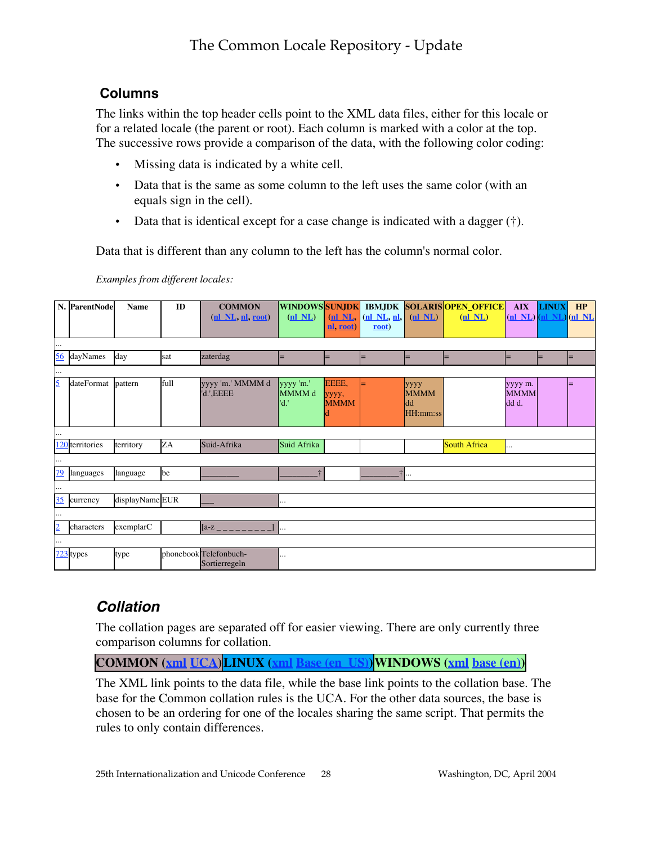### **Columns**

The links within the top header cells point to the XML data files, either for this locale or for a related locale (the parent or root). Each column is marked with a color at the top. The successive rows provide a comparison of the data, with the following color coding:

- Missing data is indicated by a white cell.
- Data that is the same as some column to the left uses the same color (with an equals sign in the cell).
- Data that is identical except for a case change is indicated with a dagger  $(†)$ .

Data that is different than any column to the left has the column's normal color.

*Examples from different locales:*

|                | N. ParentNode   | <b>Name</b>     | ID   | <b>COMMON</b>                           | <b>WINDOWS SUNJDK</b>       |                               | <b>IBMJDK</b>              |                                       | <b>SOLARISOPEN OFFICE</b> | <b>AIX</b>                         | <b>LINUX</b> | HP  |
|----------------|-----------------|-----------------|------|-----------------------------------------|-----------------------------|-------------------------------|----------------------------|---------------------------------------|---------------------------|------------------------------------|--------------|-----|
|                |                 |                 |      | (nl NL, nl, root)                       | $(nl$ NL)                   | nN <sub>L</sub><br>nl, root)  | $(nl$ NL, $n_l$ ,<br>root) | $(nl$ NL $)$                          | $(nl$ NL $)$              | $(nl$ NL $)$ $(nl$ NL $)$ $(nl$ NL |              |     |
|                |                 |                 |      |                                         |                             |                               |                            |                                       |                           |                                    |              |     |
| $\cdots$       |                 |                 |      |                                         |                             |                               |                            |                                       |                           |                                    |              |     |
| 56             | dayNames        | day             | sat  | zaterdag                                | ۳                           |                               | $=$                        |                                       |                           |                                    |              | $=$ |
| $\cdots$       |                 |                 |      |                                         |                             |                               |                            |                                       |                           |                                    |              |     |
| 5              | dateFormat      | pattern         | full | yyyy 'm.' MMMM d<br>'d.', EEEE          | yyyy 'm.'<br>MMMM d<br>'d.' | EEEE,<br>уууу,<br><b>MMMM</b> |                            | уууу<br><b>MMMM</b><br>dd<br>HH:mm:ss |                           | yyyy m.<br><b>MMMM</b><br>dd d.    |              |     |
|                |                 |                 |      |                                         |                             |                               |                            |                                       |                           |                                    |              |     |
|                | 120 territories | territory       | ZA   | Suid-Afrika                             | Suid Afrika                 |                               |                            |                                       | <b>South Africa</b>       | .                                  |              |     |
| $\cdots$       |                 |                 |      |                                         |                             |                               |                            |                                       |                           |                                    |              |     |
| 79             | languages       | language        | be   |                                         | $\ddot{\tau}$               |                               |                            | $\dagger$                             |                           |                                    |              |     |
| $\cdots$       |                 |                 |      |                                         |                             |                               |                            |                                       |                           |                                    |              |     |
| 35             | currency        | displayName EUR |      |                                         |                             |                               |                            |                                       |                           |                                    |              |     |
|                |                 |                 |      |                                         |                             |                               |                            |                                       |                           |                                    |              |     |
| $\overline{2}$ | characters      | exemplarC       |      | $[a-z]_{-\,-}$                          |                             |                               |                            |                                       |                           |                                    |              |     |
|                |                 |                 |      |                                         |                             |                               |                            |                                       |                           |                                    |              |     |
|                | $723$ types     | type            |      | phonebook Telefonbuch-<br>Sortierregeln |                             |                               |                            |                                       |                           |                                    |              |     |

## **Collation**

The collation pages are separated off for easier viewing. There are only currently three comparison columns for collation.

**COMMON (xml UCA)LINUX (xml Base (en\_US))WINDOWS (xml base (en))**

The XML link points to the data file, while the base link points to the collation base. The base for the Common collation rules is the UCA. For the other data sources, the base is chosen to be an ordering for one of the locales sharing the same script. That permits the rules to only contain differences.